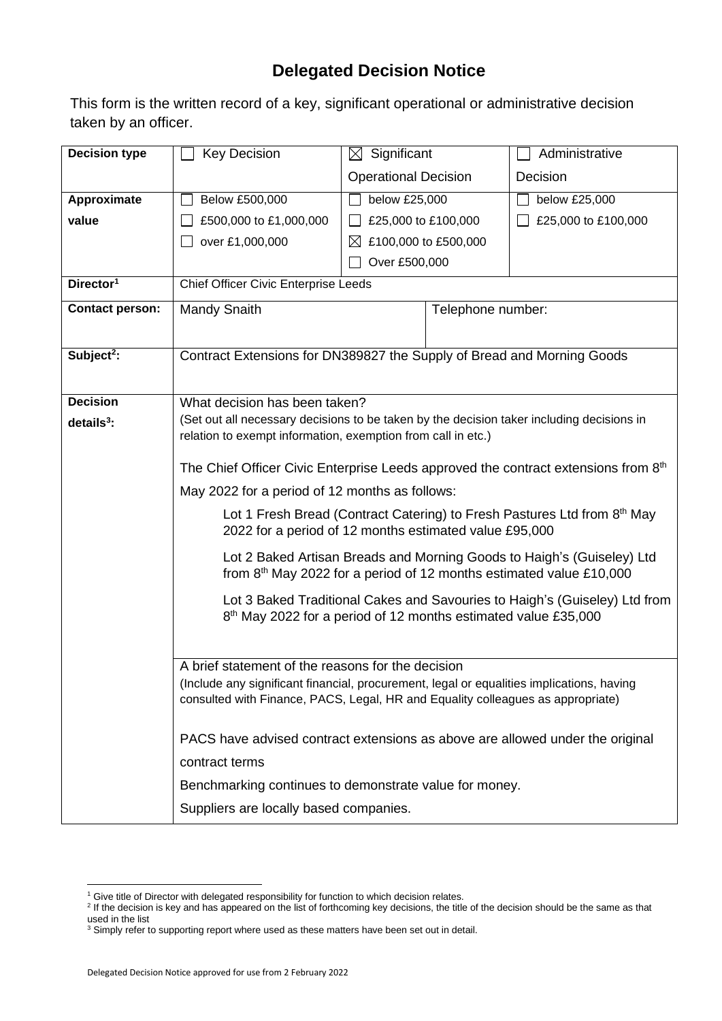## **Delegated Decision Notice**

This form is the written record of a key, significant operational or administrative decision taken by an officer.

| <b>Decision type</b>   | <b>Key Decision</b>                                                                                                                                                                                                               | $\boxtimes$ Significant     |                      | Administrative      |  |
|------------------------|-----------------------------------------------------------------------------------------------------------------------------------------------------------------------------------------------------------------------------------|-----------------------------|----------------------|---------------------|--|
|                        |                                                                                                                                                                                                                                   | <b>Operational Decision</b> |                      | Decision            |  |
| Approximate            | Below £500,000                                                                                                                                                                                                                    | below £25,000               |                      | below £25,000       |  |
| value                  | £500,000 to £1,000,000                                                                                                                                                                                                            | £25,000 to £100,000         |                      | £25,000 to £100,000 |  |
|                        | over £1,000,000                                                                                                                                                                                                                   | $\bowtie$                   | £100,000 to £500,000 |                     |  |
|                        |                                                                                                                                                                                                                                   | Over £500,000               |                      |                     |  |
| Director <sup>1</sup>  | Chief Officer Civic Enterprise Leeds                                                                                                                                                                                              |                             |                      |                     |  |
| <b>Contact person:</b> | <b>Mandy Snaith</b>                                                                                                                                                                                                               | Telephone number:           |                      |                     |  |
|                        |                                                                                                                                                                                                                                   |                             |                      |                     |  |
| Subject <sup>2</sup> : | Contract Extensions for DN389827 the Supply of Bread and Morning Goods                                                                                                                                                            |                             |                      |                     |  |
|                        |                                                                                                                                                                                                                                   |                             |                      |                     |  |
| <b>Decision</b>        | What decision has been taken?                                                                                                                                                                                                     |                             |                      |                     |  |
| $details3$ :           | (Set out all necessary decisions to be taken by the decision taker including decisions in<br>relation to exempt information, exemption from call in etc.)                                                                         |                             |                      |                     |  |
|                        |                                                                                                                                                                                                                                   |                             |                      |                     |  |
|                        | The Chief Officer Civic Enterprise Leeds approved the contract extensions from 8 <sup>th</sup>                                                                                                                                    |                             |                      |                     |  |
|                        | May 2022 for a period of 12 months as follows:                                                                                                                                                                                    |                             |                      |                     |  |
|                        | Lot 1 Fresh Bread (Contract Catering) to Fresh Pastures Ltd from 8 <sup>th</sup> May<br>2022 for a period of 12 months estimated value £95,000                                                                                    |                             |                      |                     |  |
|                        | Lot 2 Baked Artisan Breads and Morning Goods to Haigh's (Guiseley) Ltd<br>from 8th May 2022 for a period of 12 months estimated value £10,000                                                                                     |                             |                      |                     |  |
|                        | Lot 3 Baked Traditional Cakes and Savouries to Haigh's (Guiseley) Ltd from<br>8 <sup>th</sup> May 2022 for a period of 12 months estimated value £35,000                                                                          |                             |                      |                     |  |
|                        |                                                                                                                                                                                                                                   |                             |                      |                     |  |
|                        | A brief statement of the reasons for the decision<br>(Include any significant financial, procurement, legal or equalities implications, having<br>consulted with Finance, PACS, Legal, HR and Equality colleagues as appropriate) |                             |                      |                     |  |
|                        | PACS have advised contract extensions as above are allowed under the original                                                                                                                                                     |                             |                      |                     |  |
|                        | contract terms                                                                                                                                                                                                                    |                             |                      |                     |  |
|                        | Benchmarking continues to demonstrate value for money.                                                                                                                                                                            |                             |                      |                     |  |
|                        | Suppliers are locally based companies.                                                                                                                                                                                            |                             |                      |                     |  |

<sup>&</sup>lt;sup>1</sup> Give title of Director with delegated responsibility for function to which decision relates.<br><sup>2</sup> If the decision is key and has appeared on the list of forthcoming key decisions, the title of the decision should be the used in the list

 $3$  Simply refer to supporting report where used as these matters have been set out in detail.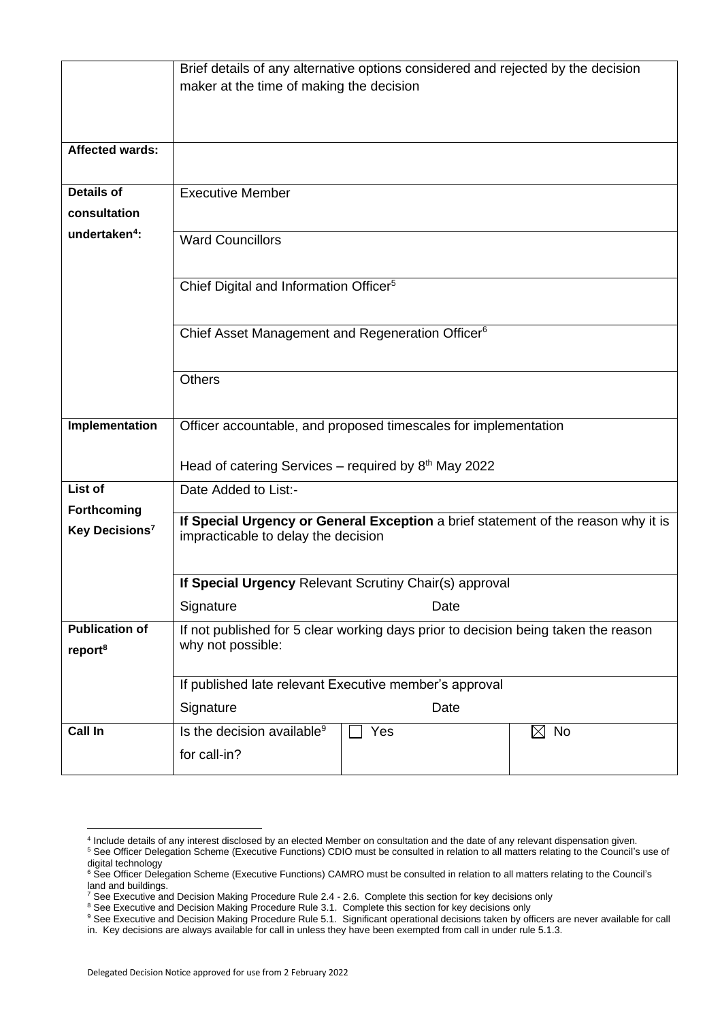|                            | Brief details of any alternative options considered and rejected by the decision   |      |                |  |  |  |
|----------------------------|------------------------------------------------------------------------------------|------|----------------|--|--|--|
|                            | maker at the time of making the decision                                           |      |                |  |  |  |
|                            |                                                                                    |      |                |  |  |  |
|                            |                                                                                    |      |                |  |  |  |
| <b>Affected wards:</b>     |                                                                                    |      |                |  |  |  |
| <b>Details of</b>          | <b>Executive Member</b>                                                            |      |                |  |  |  |
| consultation               |                                                                                    |      |                |  |  |  |
| undertaken <sup>4</sup> :  |                                                                                    |      |                |  |  |  |
|                            | <b>Ward Councillors</b>                                                            |      |                |  |  |  |
|                            |                                                                                    |      |                |  |  |  |
|                            | Chief Digital and Information Officer <sup>5</sup>                                 |      |                |  |  |  |
|                            |                                                                                    |      |                |  |  |  |
|                            | Chief Asset Management and Regeneration Officer <sup>6</sup>                       |      |                |  |  |  |
|                            |                                                                                    |      |                |  |  |  |
|                            | <b>Others</b>                                                                      |      |                |  |  |  |
|                            |                                                                                    |      |                |  |  |  |
| Implementation             | Officer accountable, and proposed timescales for implementation                    |      |                |  |  |  |
|                            |                                                                                    |      |                |  |  |  |
|                            | Head of catering Services – required by $8th$ May 2022                             |      |                |  |  |  |
| List of                    | Date Added to List:-                                                               |      |                |  |  |  |
| Forthcoming                | If Special Urgency or General Exception a brief statement of the reason why it is  |      |                |  |  |  |
| Key Decisions <sup>7</sup> | impracticable to delay the decision                                                |      |                |  |  |  |
|                            |                                                                                    |      |                |  |  |  |
|                            | If Special Urgency Relevant Scrutiny Chair(s) approval                             |      |                |  |  |  |
|                            | Signature                                                                          | Date |                |  |  |  |
| <b>Publication of</b>      | If not published for 5 clear working days prior to decision being taken the reason |      |                |  |  |  |
| report <sup>8</sup>        | why not possible:                                                                  |      |                |  |  |  |
|                            |                                                                                    |      |                |  |  |  |
|                            | If published late relevant Executive member's approval                             |      |                |  |  |  |
|                            | Signature                                                                          | Date |                |  |  |  |
| Call In                    | Is the decision available <sup>9</sup>                                             | Yes  | $\boxtimes$ No |  |  |  |
|                            | for call-in?                                                                       |      |                |  |  |  |

<sup>4</sup> Include details of any interest disclosed by an elected Member on consultation and the date of any relevant dispensation given. <sup>5</sup> See Officer Delegation Scheme (Executive Functions) CDIO must be consulted in relation to all matters relating to the Council's use of

digital technology <sup>6</sup> See Officer Delegation Scheme (Executive Functions) CAMRO must be consulted in relation to all matters relating to the Council's

land and buildings.

 $^7$  See Executive and Decision Making Procedure Rule 2.4 - 2.6. Complete this section for key decisions only

<sup>&</sup>lt;sup>8</sup> See Executive and Decision Making Procedure Rule 3.1. Complete this section for key decisions only

<sup>&</sup>lt;sup>9</sup> See Executive and Decision Making Procedure Rule 5.1. Significant operational decisions taken by officers are never available for call in. Key decisions are always available for call in unless they have been exempted from call in under rule 5.1.3.